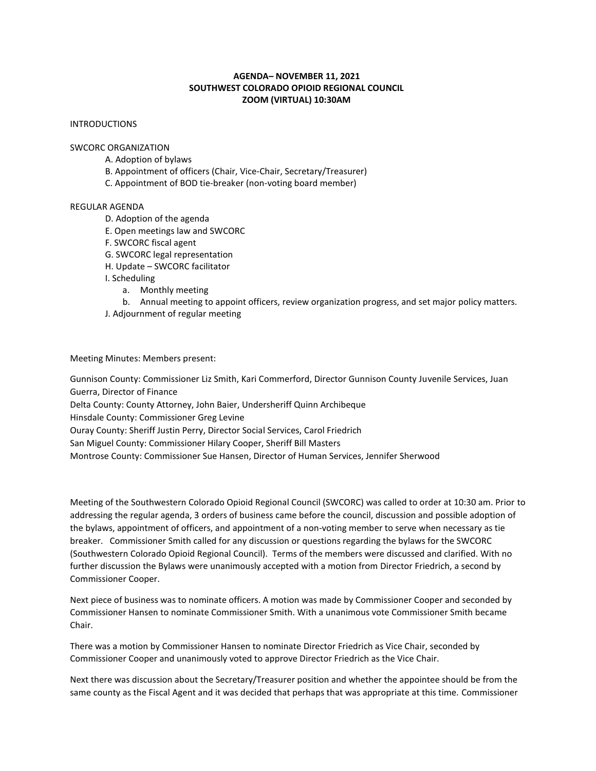## **AGENDA– NOVEMBER 11, 2021 SOUTHWEST COLORADO OPIOID REGIONAL COUNCIL ZOOM (VIRTUAL) 10:30AM**

## INTRODUCTIONS

#### SWCORC ORGANIZATION

- A. Adoption of bylaws
- B. Appointment of officers (Chair, Vice-Chair, Secretary/Treasurer)
- C. Appointment of BOD tie-breaker (non-voting board member)

# REGULAR AGENDA

- D. Adoption of the agenda
- E. Open meetings law and SWCORC
- F. SWCORC fiscal agent
- G. SWCORC legal representation
- H. Update SWCORC facilitator
- I. Scheduling
	- a. Monthly meeting
	- b. Annual meeting to appoint officers, review organization progress, and set major policy matters.
- J. Adjournment of regular meeting

### Meeting Minutes: Members present:

Gunnison County: Commissioner Liz Smith, Kari Commerford, Director Gunnison County Juvenile Services, Juan Guerra, Director of Finance Delta County: County Attorney, John Baier, Undersheriff Quinn Archibeque Hinsdale County: Commissioner Greg Levine Ouray County: Sheriff Justin Perry, Director Social Services, Carol Friedrich

San Miguel County: Commissioner Hilary Cooper, Sheriff Bill Masters

Montrose County: Commissioner Sue Hansen, Director of Human Services, Jennifer Sherwood

Meeting of the Southwestern Colorado Opioid Regional Council (SWCORC) was called to order at 10:30 am. Prior to addressing the regular agenda, 3 orders of business came before the council, discussion and possible adoption of the bylaws, appointment of officers, and appointment of a non-voting member to serve when necessary as tie breaker. Commissioner Smith called for any discussion or questions regarding the bylaws for the SWCORC (Southwestern Colorado Opioid Regional Council). Terms of the members were discussed and clarified. With no further discussion the Bylaws were unanimously accepted with a motion from Director Friedrich, a second by Commissioner Cooper.

Next piece of business was to nominate officers. A motion was made by Commissioner Cooper and seconded by Commissioner Hansen to nominate Commissioner Smith. With a unanimous vote Commissioner Smith became Chair.

There was a motion by Commissioner Hansen to nominate Director Friedrich as Vice Chair, seconded by Commissioner Cooper and unanimously voted to approve Director Friedrich as the Vice Chair.

Next there was discussion about the Secretary/Treasurer position and whether the appointee should be from the same county as the Fiscal Agent and it was decided that perhaps that was appropriate at this time. Commissioner